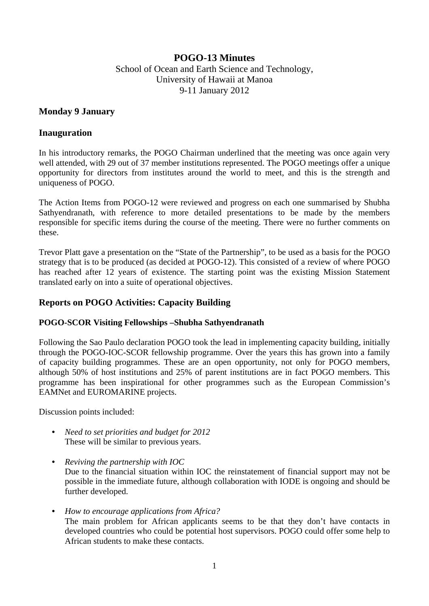# **POGO-13 Minutes**  School of Ocean and Earth Science and Technology, University of Hawaii at Manoa 9-11 January 2012

## **Monday 9 January**

## **Inauguration**

In his introductory remarks, the POGO Chairman underlined that the meeting was once again very well attended, with 29 out of 37 member institutions represented. The POGO meetings offer a unique opportunity for directors from institutes around the world to meet, and this is the strength and uniqueness of POGO.

The Action Items from POGO-12 were reviewed and progress on each one summarised by Shubha Sathyendranath, with reference to more detailed presentations to be made by the members responsible for specific items during the course of the meeting. There were no further comments on these.

Trevor Platt gave a presentation on the "State of the Partnership", to be used as a basis for the POGO strategy that is to be produced (as decided at POGO-12). This consisted of a review of where POGO has reached after 12 years of existence. The starting point was the existing Mission Statement translated early on into a suite of operational objectives.

## **Reports on POGO Activities: Capacity Building**

## **POGO-SCOR Visiting Fellowships –Shubha Sathyendranath**

Following the Sao Paulo declaration POGO took the lead in implementing capacity building, initially through the POGO-IOC-SCOR fellowship programme. Over the years this has grown into a family of capacity building programmes. These are an open opportunity, not only for POGO members, although 50% of host institutions and 25% of parent institutions are in fact POGO members. This programme has been inspirational for other programmes such as the European Commission's EAMNet and EUROMARINE projects.

Discussion points included:

- *Need to set priorities and budget for 2012*  These will be similar to previous years.
- *Reviving the partnership with IOC*  Due to the financial situation within IOC the reinstatement of financial support may not be possible in the immediate future, although collaboration with IODE is ongoing and should be further developed.
- *How to encourage applications from Africa?*  The main problem for African applicants seems to be that they don't have contacts in developed countries who could be potential host supervisors. POGO could offer some help to African students to make these contacts.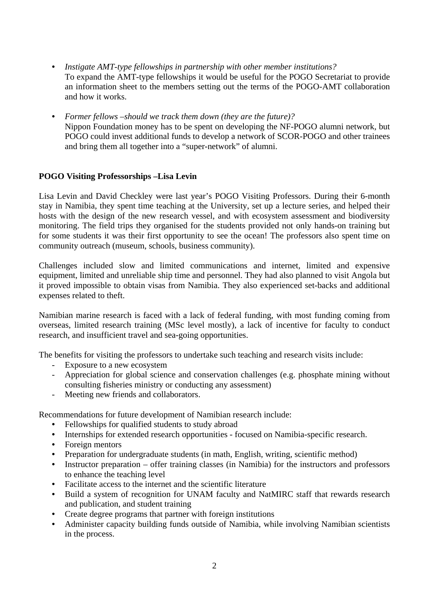- *Instigate AMT-type fellowships in partnership with other member institutions?*  To expand the AMT-type fellowships it would be useful for the POGO Secretariat to provide an information sheet to the members setting out the terms of the POGO-AMT collaboration and how it works.
- *Former fellows –should we track them down (they are the future)?*  Nippon Foundation money has to be spent on developing the NF-POGO alumni network, but POGO could invest additional funds to develop a network of SCOR-POGO and other trainees and bring them all together into a "super-network" of alumni.

## **POGO Visiting Professorships –Lisa Levin**

Lisa Levin and David Checkley were last year's POGO Visiting Professors. During their 6-month stay in Namibia, they spent time teaching at the University, set up a lecture series, and helped their hosts with the design of the new research vessel, and with ecosystem assessment and biodiversity monitoring. The field trips they organised for the students provided not only hands-on training but for some students it was their first opportunity to see the ocean! The professors also spent time on community outreach (museum, schools, business community).

Challenges included slow and limited communications and internet, limited and expensive equipment, limited and unreliable ship time and personnel. They had also planned to visit Angola but it proved impossible to obtain visas from Namibia. They also experienced set-backs and additional expenses related to theft.

Namibian marine research is faced with a lack of federal funding, with most funding coming from overseas, limited research training (MSc level mostly), a lack of incentive for faculty to conduct research, and insufficient travel and sea-going opportunities.

The benefits for visiting the professors to undertake such teaching and research visits include:

- Exposure to a new ecosystem
- Appreciation for global science and conservation challenges (e.g. phosphate mining without consulting fisheries ministry or conducting any assessment)
- Meeting new friends and collaborators.

Recommendations for future development of Namibian research include:

- Fellowships for qualified students to study abroad
- Internships for extended research opportunities focused on Namibia-specific research.
- Foreign mentors
- Preparation for undergraduate students (in math, English, writing, scientific method)
- Instructor preparation offer training classes (in Namibia) for the instructors and professors to enhance the teaching level
- Facilitate access to the internet and the scientific literature
- Build a system of recognition for UNAM faculty and NatMIRC staff that rewards research and publication, and student training
- Create degree programs that partner with foreign institutions
- Administer capacity building funds outside of Namibia, while involving Namibian scientists in the process.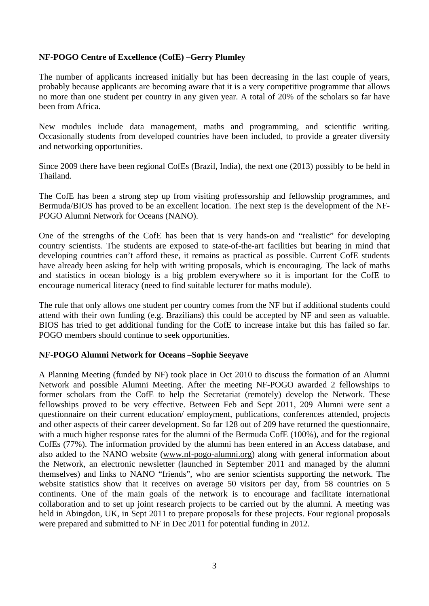## **NF-POGO Centre of Excellence (CofE) –Gerry Plumley**

The number of applicants increased initially but has been decreasing in the last couple of years, probably because applicants are becoming aware that it is a very competitive programme that allows no more than one student per country in any given year. A total of 20% of the scholars so far have been from Africa.

New modules include data management, maths and programming, and scientific writing. Occasionally students from developed countries have been included, to provide a greater diversity and networking opportunities.

Since 2009 there have been regional CofEs (Brazil, India), the next one (2013) possibly to be held in Thailand.

The CofE has been a strong step up from visiting professorship and fellowship programmes, and Bermuda/BIOS has proved to be an excellent location. The next step is the development of the NF-POGO Alumni Network for Oceans (NANO).

One of the strengths of the CofE has been that is very hands-on and "realistic" for developing country scientists. The students are exposed to state-of-the-art facilities but bearing in mind that developing countries can't afford these, it remains as practical as possible. Current CofE students have already been asking for help with writing proposals, which is encouraging. The lack of maths and statistics in ocean biology is a big problem everywhere so it is important for the CofE to encourage numerical literacy (need to find suitable lecturer for maths module).

The rule that only allows one student per country comes from the NF but if additional students could attend with their own funding (e.g. Brazilians) this could be accepted by NF and seen as valuable. BIOS has tried to get additional funding for the CofE to increase intake but this has failed so far. POGO members should continue to seek opportunities.

#### **NF-POGO Alumni Network for Oceans –Sophie Seeyave**

A Planning Meeting (funded by NF) took place in Oct 2010 to discuss the formation of an Alumni Network and possible Alumni Meeting. After the meeting NF-POGO awarded 2 fellowships to former scholars from the CofE to help the Secretariat (remotely) develop the Network. These fellowships proved to be very effective. Between Feb and Sept 2011, 209 Alumni were sent a questionnaire on their current education/ employment, publications, conferences attended, projects and other aspects of their career development. So far 128 out of 209 have returned the questionnaire, with a much higher response rates for the alumni of the Bermuda CofE (100%), and for the regional CofEs (77%). The information provided by the alumni has been entered in an Access database, and also added to the NANO website (www.nf-pogo-alumni.org) along with general information about the Network, an electronic newsletter (launched in September 2011 and managed by the alumni themselves) and links to NANO "friends", who are senior scientists supporting the network. The website statistics show that it receives on average 50 visitors per day, from 58 countries on 5 continents. One of the main goals of the network is to encourage and facilitate international collaboration and to set up joint research projects to be carried out by the alumni. A meeting was held in Abingdon, UK, in Sept 2011 to prepare proposals for these projects. Four regional proposals were prepared and submitted to NF in Dec 2011 for potential funding in 2012.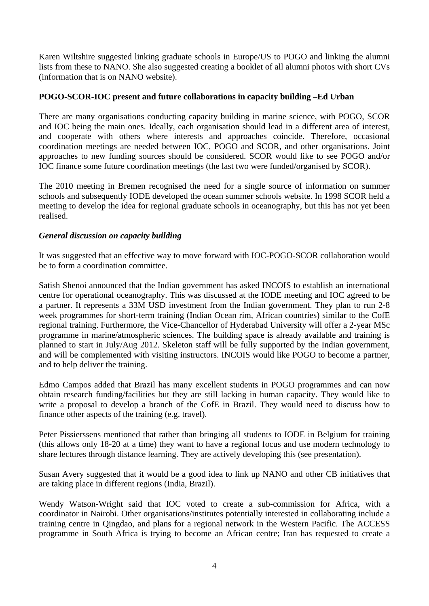Karen Wiltshire suggested linking graduate schools in Europe/US to POGO and linking the alumni lists from these to NANO. She also suggested creating a booklet of all alumni photos with short CVs (information that is on NANO website).

## **POGO-SCOR-IOC present and future collaborations in capacity building –Ed Urban**

There are many organisations conducting capacity building in marine science, with POGO, SCOR and IOC being the main ones. Ideally, each organisation should lead in a different area of interest, and cooperate with others where interests and approaches coincide. Therefore, occasional coordination meetings are needed between IOC, POGO and SCOR, and other organisations. Joint approaches to new funding sources should be considered. SCOR would like to see POGO and/or IOC finance some future coordination meetings (the last two were funded/organised by SCOR).

The 2010 meeting in Bremen recognised the need for a single source of information on summer schools and subsequently IODE developed the ocean summer schools website. In 1998 SCOR held a meeting to develop the idea for regional graduate schools in oceanography, but this has not yet been realised.

#### *General discussion on capacity building*

It was suggested that an effective way to move forward with IOC-POGO-SCOR collaboration would be to form a coordination committee.

Satish Shenoi announced that the Indian government has asked INCOIS to establish an international centre for operational oceanography. This was discussed at the IODE meeting and IOC agreed to be a partner. It represents a 33M USD investment from the Indian government. They plan to run 2-8 week programmes for short-term training (Indian Ocean rim, African countries) similar to the CofE regional training. Furthermore, the Vice-Chancellor of Hyderabad University will offer a 2-year MSc programme in marine/atmospheric sciences. The building space is already available and training is planned to start in July/Aug 2012. Skeleton staff will be fully supported by the Indian government, and will be complemented with visiting instructors. INCOIS would like POGO to become a partner, and to help deliver the training.

Edmo Campos added that Brazil has many excellent students in POGO programmes and can now obtain research funding/facilities but they are still lacking in human capacity. They would like to write a proposal to develop a branch of the CofE in Brazil. They would need to discuss how to finance other aspects of the training (e.g. travel).

Peter Pissierssens mentioned that rather than bringing all students to IODE in Belgium for training (this allows only 18-20 at a time) they want to have a regional focus and use modern technology to share lectures through distance learning. They are actively developing this (see presentation).

Susan Avery suggested that it would be a good idea to link up NANO and other CB initiatives that are taking place in different regions (India, Brazil).

Wendy Watson-Wright said that IOC voted to create a sub-commission for Africa, with a coordinator in Nairobi. Other organisations/institutes potentially interested in collaborating include a training centre in Qingdao, and plans for a regional network in the Western Pacific. The ACCESS programme in South Africa is trying to become an African centre; Iran has requested to create a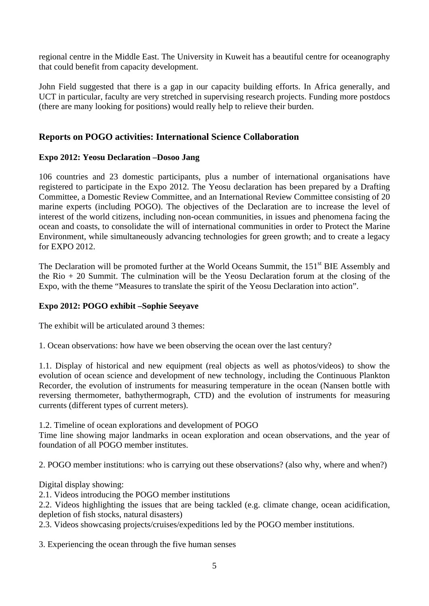regional centre in the Middle East. The University in Kuweit has a beautiful centre for oceanography that could benefit from capacity development.

John Field suggested that there is a gap in our capacity building efforts. In Africa generally, and UCT in particular, faculty are very stretched in supervising research projects. Funding more postdocs (there are many looking for positions) would really help to relieve their burden.

# **Reports on POGO activities: International Science Collaboration**

## **Expo 2012: Yeosu Declaration –Dosoo Jang**

106 countries and 23 domestic participants, plus a number of international organisations have registered to participate in the Expo 2012. The Yeosu declaration has been prepared by a Drafting Committee, a Domestic Review Committee, and an International Review Committee consisting of 20 marine experts (including POGO). The objectives of the Declaration are to increase the level of interest of the world citizens, including non-ocean communities, in issues and phenomena facing the ocean and coasts, to consolidate the will of international communities in order to Protect the Marine Environment, while simultaneously advancing technologies for green growth; and to create a legacy for EXPO 2012.

The Declaration will be promoted further at the World Oceans Summit, the 151<sup>st</sup> BIE Assembly and the Rio  $+20$  Summit. The culmination will be the Yeosu Declaration forum at the closing of the Expo, with the theme "Measures to translate the spirit of the Yeosu Declaration into action".

## **Expo 2012: POGO exhibit –Sophie Seeyave**

The exhibit will be articulated around 3 themes:

1. Ocean observations: how have we been observing the ocean over the last century?

1.1. Display of historical and new equipment (real objects as well as photos/videos) to show the evolution of ocean science and development of new technology, including the Continuous Plankton Recorder, the evolution of instruments for measuring temperature in the ocean (Nansen bottle with reversing thermometer, bathythermograph, CTD) and the evolution of instruments for measuring currents (different types of current meters).

1.2. Timeline of ocean explorations and development of POGO

Time line showing major landmarks in ocean exploration and ocean observations, and the year of foundation of all POGO member institutes.

2. POGO member institutions: who is carrying out these observations? (also why, where and when?)

Digital display showing:

2.1. Videos introducing the POGO member institutions

2.2. Videos highlighting the issues that are being tackled (e.g. climate change, ocean acidification, depletion of fish stocks, natural disasters)

2.3. Videos showcasing projects/cruises/expeditions led by the POGO member institutions.

3. Experiencing the ocean through the five human senses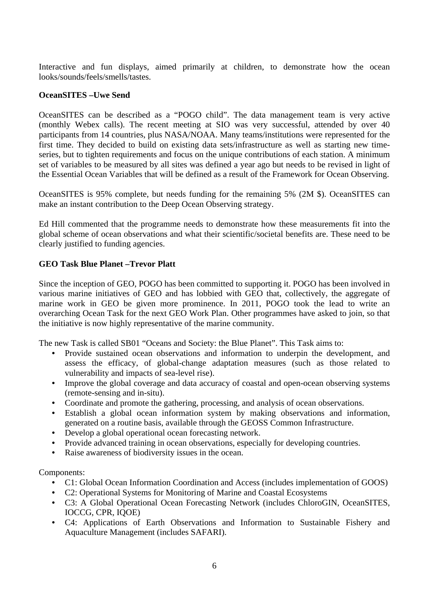Interactive and fun displays, aimed primarily at children, to demonstrate how the ocean looks/sounds/feels/smells/tastes.

#### **OceanSITES –Uwe Send**

OceanSITES can be described as a "POGO child". The data management team is very active (monthly Webex calls). The recent meeting at SIO was very successful, attended by over 40 participants from 14 countries, plus NASA/NOAA. Many teams/institutions were represented for the first time. They decided to build on existing data sets/infrastructure as well as starting new timeseries, but to tighten requirements and focus on the unique contributions of each station. A minimum set of variables to be measured by all sites was defined a year ago but needs to be revised in light of the Essential Ocean Variables that will be defined as a result of the Framework for Ocean Observing.

OceanSITES is 95% complete, but needs funding for the remaining 5% (2M \$). OceanSITES can make an instant contribution to the Deep Ocean Observing strategy.

Ed Hill commented that the programme needs to demonstrate how these measurements fit into the global scheme of ocean observations and what their scientific/societal benefits are. These need to be clearly justified to funding agencies.

## **GEO Task Blue Planet –Trevor Platt**

Since the inception of GEO, POGO has been committed to supporting it. POGO has been involved in various marine initiatives of GEO and has lobbied with GEO that, collectively, the aggregate of marine work in GEO be given more prominence. In 2011, POGO took the lead to write an overarching Ocean Task for the next GEO Work Plan. Other programmes have asked to join, so that the initiative is now highly representative of the marine community.

The new Task is called SB01 "Oceans and Society: the Blue Planet". This Task aims to:

- Provide sustained ocean observations and information to underpin the development, and assess the efficacy, of global-change adaptation measures (such as those related to vulnerability and impacts of sea-level rise).
- Improve the global coverage and data accuracy of coastal and open-ocean observing systems (remote-sensing and in-situ).
- Coordinate and promote the gathering, processing, and analysis of ocean observations.
- Establish a global ocean information system by making observations and information, generated on a routine basis, available through the GEOSS Common Infrastructure.
- Develop a global operational ocean forecasting network.
- Provide advanced training in ocean observations, especially for developing countries.
- Raise awareness of biodiversity issues in the ocean.

Components:

- C1: Global Ocean Information Coordination and Access (includes implementation of GOOS)
- C2: Operational Systems for Monitoring of Marine and Coastal Ecosystems
- C3: A Global Operational Ocean Forecasting Network (includes ChloroGIN, OceanSITES, IOCCG, CPR, IQOE)
- C4: Applications of Earth Observations and Information to Sustainable Fishery and Aquaculture Management (includes SAFARI).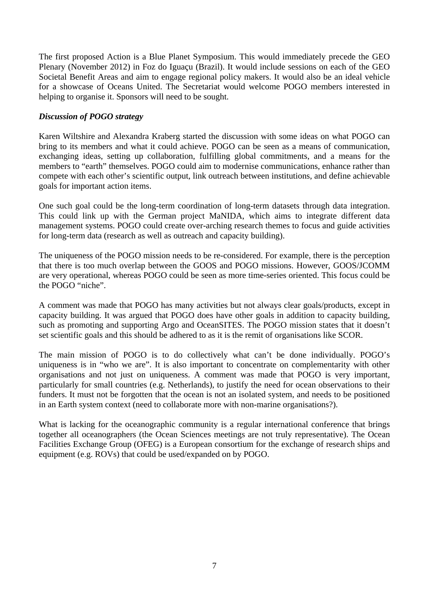The first proposed Action is a Blue Planet Symposium. This would immediately precede the GEO Plenary (November 2012) in Foz do Iguaçu (Brazil). It would include sessions on each of the GEO Societal Benefit Areas and aim to engage regional policy makers. It would also be an ideal vehicle for a showcase of Oceans United. The Secretariat would welcome POGO members interested in helping to organise it. Sponsors will need to be sought.

#### *Discussion of POGO strategy*

Karen Wiltshire and Alexandra Kraberg started the discussion with some ideas on what POGO can bring to its members and what it could achieve. POGO can be seen as a means of communication, exchanging ideas, setting up collaboration, fulfilling global commitments, and a means for the members to "earth" themselves. POGO could aim to modernise communications, enhance rather than compete with each other's scientific output, link outreach between institutions, and define achievable goals for important action items.

One such goal could be the long-term coordination of long-term datasets through data integration. This could link up with the German project MaNIDA, which aims to integrate different data management systems. POGO could create over-arching research themes to focus and guide activities for long-term data (research as well as outreach and capacity building).

The uniqueness of the POGO mission needs to be re-considered. For example, there is the perception that there is too much overlap between the GOOS and POGO missions. However, GOOS/JCOMM are very operational, whereas POGO could be seen as more time-series oriented. This focus could be the POGO "niche".

A comment was made that POGO has many activities but not always clear goals/products, except in capacity building. It was argued that POGO does have other goals in addition to capacity building, such as promoting and supporting Argo and OceanSITES. The POGO mission states that it doesn't set scientific goals and this should be adhered to as it is the remit of organisations like SCOR.

The main mission of POGO is to do collectively what can't be done individually. POGO's uniqueness is in "who we are". It is also important to concentrate on complementarity with other organisations and not just on uniqueness. A comment was made that POGO is very important, particularly for small countries (e.g. Netherlands), to justify the need for ocean observations to their funders. It must not be forgotten that the ocean is not an isolated system, and needs to be positioned in an Earth system context (need to collaborate more with non-marine organisations?).

What is lacking for the oceanographic community is a regular international conference that brings together all oceanographers (the Ocean Sciences meetings are not truly representative). The Ocean Facilities Exchange Group (OFEG) is a European consortium for the exchange of research ships and equipment (e.g. ROVs) that could be used/expanded on by POGO.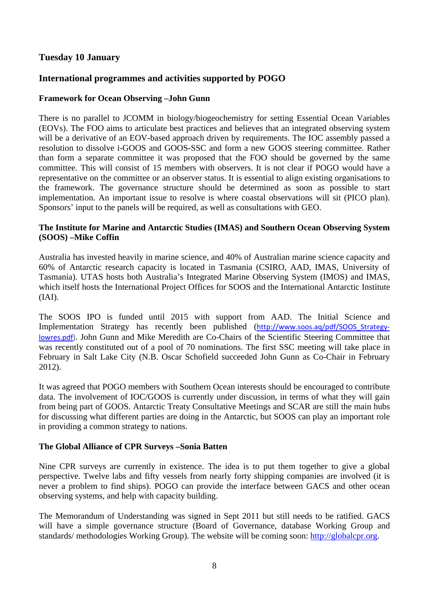# **Tuesday 10 January**

# **International programmes and activities supported by POGO**

#### **Framework for Ocean Observing –John Gunn**

There is no parallel to JCOMM in biology/biogeochemistry for setting Essential Ocean Variables (EOVs). The FOO aims to articulate best practices and believes that an integrated observing system will be a derivative of an EOV-based approach driven by requirements. The IOC assembly passed a resolution to dissolve i-GOOS and GOOS-SSC and form a new GOOS steering committee. Rather than form a separate committee it was proposed that the FOO should be governed by the same committee. This will consist of 15 members with observers. It is not clear if POGO would have a representative on the committee or an observer status. It is essential to align existing organisations to the framework. The governance structure should be determined as soon as possible to start implementation. An important issue to resolve is where coastal observations will sit (PICO plan). Sponsors' input to the panels will be required, as well as consultations with GEO.

#### **The Institute for Marine and Antarctic Studies (IMAS) and Southern Ocean Observing System (SOOS) –Mike Coffin**

Australia has invested heavily in marine science, and 40% of Australian marine science capacity and 60% of Antarctic research capacity is located in Tasmania (CSIRO, AAD, IMAS, University of Tasmania). UTAS hosts both Australia's Integrated Marine Observing System (IMOS) and IMAS, which itself hosts the International Project Offices for SOOS and the International Antarctic Institute (IAI).

The SOOS IPO is funded until 2015 with support from AAD. The Initial Science and Implementation Strategy has recently been published (http://www.soos.aq/pdf/SOOS\_Strategy‐ lowres.pdf). John Gunn and Mike Meredith are Co-Chairs of the Scientific Steering Committee that was recently constituted out of a pool of 70 nominations. The first SSC meeting will take place in February in Salt Lake City (N.B. Oscar Schofield succeeded John Gunn as Co-Chair in February 2012).

It was agreed that POGO members with Southern Ocean interests should be encouraged to contribute data. The involvement of IOC/GOOS is currently under discussion, in terms of what they will gain from being part of GOOS. Antarctic Treaty Consultative Meetings and SCAR are still the main hubs for discussing what different parties are doing in the Antarctic, but SOOS can play an important role in providing a common strategy to nations.

## **The Global Alliance of CPR Surveys –Sonia Batten**

Nine CPR surveys are currently in existence. The idea is to put them together to give a global perspective. Twelve labs and fifty vessels from nearly forty shipping companies are involved (it is never a problem to find ships). POGO can provide the interface between GACS and other ocean observing systems, and help with capacity building.

The Memorandum of Understanding was signed in Sept 2011 but still needs to be ratified. GACS will have a simple governance structure (Board of Governance, database Working Group and standards/ methodologies Working Group). The website will be coming soon: http://globalcpr.org.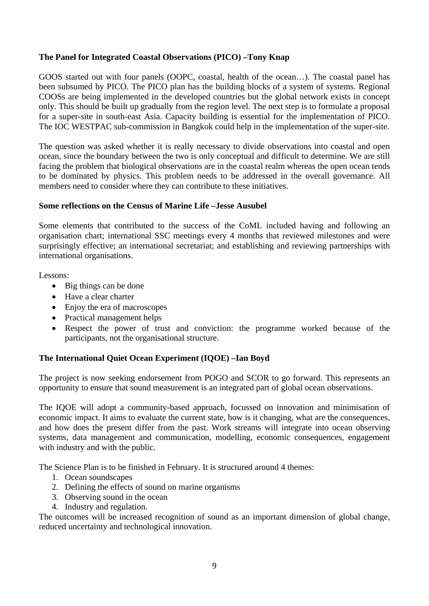## **The Panel for Integrated Coastal Observations (PICO) –Tony Knap**

GOOS started out with four panels (OOPC, coastal, health of the ocean…). The coastal panel has been subsumed by PICO. The PICO plan has the building blocks of a system of systems. Regional COOSs are being implemented in the developed countries but the global network exists in concept only. This should be built up gradually from the region level. The next step is to formulate a proposal for a super-site in south-east Asia. Capacity building is essential for the implementation of PICO. The IOC WESTPAC sub-commission in Bangkok could help in the implementation of the super-site.

The question was asked whether it is really necessary to divide observations into coastal and open ocean, since the boundary between the two is only conceptual and difficult to determine. We are still facing the problem that biological observations are in the coastal realm whereas the open ocean tends to be dominated by physics. This problem needs to be addressed in the overall governance. All members need to consider where they can contribute to these initiatives.

## **Some reflections on the Census of Marine Life –Jesse Ausubel**

Some elements that contributed to the success of the CoML included having and following an organisation chart; international SSC meetings every 4 months that reviewed milestones and were surprisingly effective; an international secretariat; and establishing and reviewing partnerships with international organisations.

Lessons:

- Big things can be done
- Have a clear charter
- Enjoy the era of macroscopes
- Practical management helps
- Respect the power of trust and conviction: the programme worked because of the participants, not the organisational structure.

## **The International Quiet Ocean Experiment (IQOE) –Ian Boyd**

The project is now seeking endorsement from POGO and SCOR to go forward. This represents an opportunity to ensure that sound measurement is an integrated part of global ocean observations.

The IQOE will adopt a community-based approach, focussed on innovation and minimisation of economic impact. It aims to evaluate the current state, how is it changing, what are the consequences, and how does the present differ from the past. Work streams will integrate into ocean observing systems, data management and communication, modelling, economic consequences, engagement with industry and with the public.

The Science Plan is to be finished in February. It is structured around 4 themes:

- 1. Ocean soundscapes
- 2. Defining the effects of sound on marine organisms
- 3. Observing sound in the ocean
- 4. Industry and regulation.

The outcomes will be increased recognition of sound as an important dimension of global change, reduced uncertainty and technological innovation.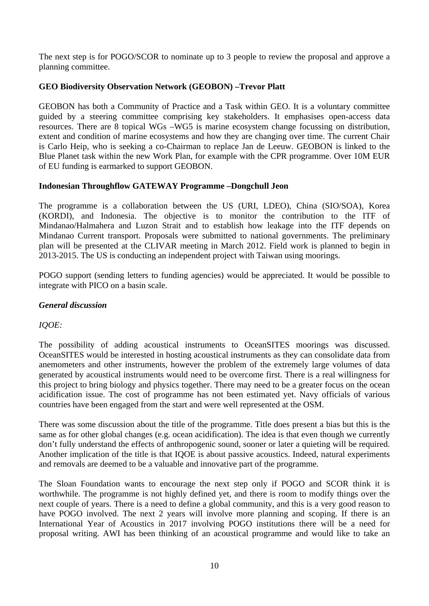The next step is for POGO/SCOR to nominate up to 3 people to review the proposal and approve a planning committee.

#### **GEO Biodiversity Observation Network (GEOBON) –Trevor Platt**

GEOBON has both a Community of Practice and a Task within GEO. It is a voluntary committee guided by a steering committee comprising key stakeholders. It emphasises open-access data resources. There are 8 topical WGs –WG5 is marine ecosystem change focussing on distribution, extent and condition of marine ecosystems and how they are changing over time. The current Chair is Carlo Heip, who is seeking a co-Chairman to replace Jan de Leeuw. GEOBON is linked to the Blue Planet task within the new Work Plan, for example with the CPR programme. Over 10M EUR of EU funding is earmarked to support GEOBON.

#### **Indonesian Throughflow GATEWAY Programme –Dongchull Jeon**

The programme is a collaboration between the US (URI, LDEO), China (SIO/SOA), Korea (KORDI), and Indonesia. The objective is to monitor the contribution to the ITF of Mindanao/Halmahera and Luzon Strait and to establish how leakage into the ITF depends on Mindanao Current transport. Proposals were submitted to national governments. The preliminary plan will be presented at the CLIVAR meeting in March 2012. Field work is planned to begin in 2013-2015. The US is conducting an independent project with Taiwan using moorings.

POGO support (sending letters to funding agencies) would be appreciated. It would be possible to integrate with PICO on a basin scale.

#### *General discussion*

## *IQOE:*

The possibility of adding acoustical instruments to OceanSITES moorings was discussed. OceanSITES would be interested in hosting acoustical instruments as they can consolidate data from anemometers and other instruments, however the problem of the extremely large volumes of data generated by acoustical instruments would need to be overcome first. There is a real willingness for this project to bring biology and physics together. There may need to be a greater focus on the ocean acidification issue. The cost of programme has not been estimated yet. Navy officials of various countries have been engaged from the start and were well represented at the OSM.

There was some discussion about the title of the programme. Title does present a bias but this is the same as for other global changes (e.g. ocean acidification). The idea is that even though we currently don't fully understand the effects of anthropogenic sound, sooner or later a quieting will be required. Another implication of the title is that IQOE is about passive acoustics. Indeed, natural experiments and removals are deemed to be a valuable and innovative part of the programme.

The Sloan Foundation wants to encourage the next step only if POGO and SCOR think it is worthwhile. The programme is not highly defined yet, and there is room to modify things over the next couple of years. There is a need to define a global community, and this is a very good reason to have POGO involved. The next 2 years will involve more planning and scoping. If there is an International Year of Acoustics in 2017 involving POGO institutions there will be a need for proposal writing. AWI has been thinking of an acoustical programme and would like to take an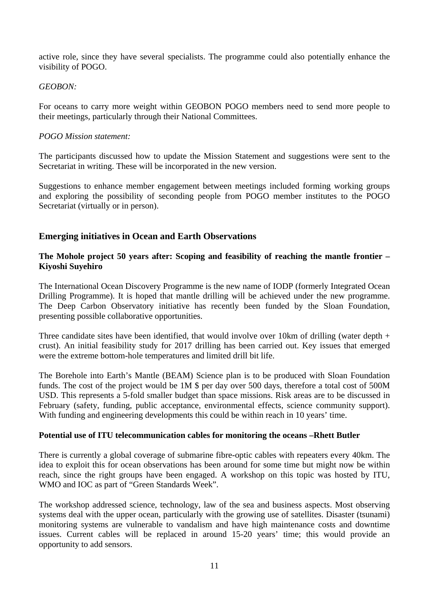active role, since they have several specialists. The programme could also potentially enhance the visibility of POGO.

#### *GEOBON:*

For oceans to carry more weight within GEOBON POGO members need to send more people to their meetings, particularly through their National Committees.

#### *POGO Mission statement:*

The participants discussed how to update the Mission Statement and suggestions were sent to the Secretariat in writing. These will be incorporated in the new version.

Suggestions to enhance member engagement between meetings included forming working groups and exploring the possibility of seconding people from POGO member institutes to the POGO Secretariat (virtually or in person).

## **Emerging initiatives in Ocean and Earth Observations**

#### **The Mohole project 50 years after: Scoping and feasibility of reaching the mantle frontier – Kiyoshi Suyehiro**

The International Ocean Discovery Programme is the new name of IODP (formerly Integrated Ocean Drilling Programme). It is hoped that mantle drilling will be achieved under the new programme. The Deep Carbon Observatory initiative has recently been funded by the Sloan Foundation, presenting possible collaborative opportunities.

Three candidate sites have been identified, that would involve over 10km of drilling (water depth + crust). An initial feasibility study for 2017 drilling has been carried out. Key issues that emerged were the extreme bottom-hole temperatures and limited drill bit life.

The Borehole into Earth's Mantle (BEAM) Science plan is to be produced with Sloan Foundation funds. The cost of the project would be 1M \$ per day over 500 days, therefore a total cost of 500M USD. This represents a 5-fold smaller budget than space missions. Risk areas are to be discussed in February (safety, funding, public acceptance, environmental effects, science community support). With funding and engineering developments this could be within reach in 10 years' time.

#### **Potential use of ITU telecommunication cables for monitoring the oceans –Rhett Butler**

There is currently a global coverage of submarine fibre-optic cables with repeaters every 40km. The idea to exploit this for ocean observations has been around for some time but might now be within reach, since the right groups have been engaged. A workshop on this topic was hosted by ITU, WMO and IOC as part of "Green Standards Week".

The workshop addressed science, technology, law of the sea and business aspects. Most observing systems deal with the upper ocean, particularly with the growing use of satellites. Disaster (tsunami) monitoring systems are vulnerable to vandalism and have high maintenance costs and downtime issues. Current cables will be replaced in around 15-20 years' time; this would provide an opportunity to add sensors.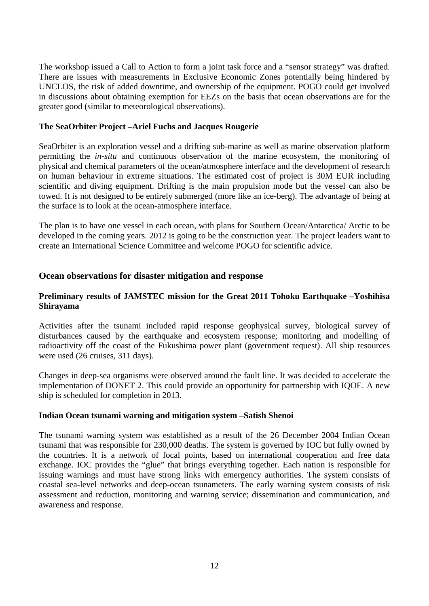The workshop issued a Call to Action to form a joint task force and a "sensor strategy" was drafted. There are issues with measurements in Exclusive Economic Zones potentially being hindered by UNCLOS, the risk of added downtime, and ownership of the equipment. POGO could get involved in discussions about obtaining exemption for EEZs on the basis that ocean observations are for the greater good (similar to meteorological observations).

#### **The SeaOrbiter Project –Ariel Fuchs and Jacques Rougerie**

SeaOrbiter is an exploration vessel and a drifting sub-marine as well as marine observation platform permitting the *in-situ* and continuous observation of the marine ecosystem, the monitoring of physical and chemical parameters of the ocean/atmosphere interface and the development of research on human behaviour in extreme situations. The estimated cost of project is 30M EUR including scientific and diving equipment. Drifting is the main propulsion mode but the vessel can also be towed. It is not designed to be entirely submerged (more like an ice-berg). The advantage of being at the surface is to look at the ocean-atmosphere interface.

The plan is to have one vessel in each ocean, with plans for Southern Ocean/Antarctica/ Arctic to be developed in the coming years. 2012 is going to be the construction year. The project leaders want to create an International Science Committee and welcome POGO for scientific advice.

## **Ocean observations for disaster mitigation and response**

## **Preliminary results of JAMSTEC mission for the Great 2011 Tohoku Earthquake –Yoshihisa Shirayama**

Activities after the tsunami included rapid response geophysical survey, biological survey of disturbances caused by the earthquake and ecosystem response; monitoring and modelling of radioactivity off the coast of the Fukushima power plant (government request). All ship resources were used (26 cruises, 311 days).

Changes in deep-sea organisms were observed around the fault line. It was decided to accelerate the implementation of DONET 2. This could provide an opportunity for partnership with IQOE. A new ship is scheduled for completion in 2013.

#### **Indian Ocean tsunami warning and mitigation system –Satish Shenoi**

The tsunami warning system was established as a result of the 26 December 2004 Indian Ocean tsunami that was responsible for 230,000 deaths. The system is governed by IOC but fully owned by the countries. It is a network of focal points, based on international cooperation and free data exchange. IOC provides the "glue" that brings everything together. Each nation is responsible for issuing warnings and must have strong links with emergency authorities. The system consists of coastal sea-level networks and deep-ocean tsunameters. The early warning system consists of risk assessment and reduction, monitoring and warning service; dissemination and communication, and awareness and response.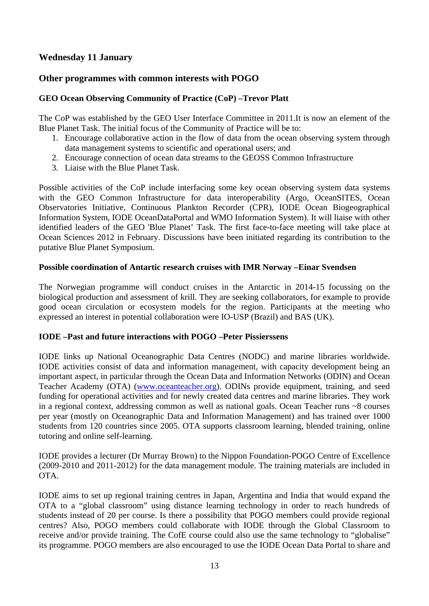# **Wednesday 11 January**

# **Other programmes with common interests with POGO**

# **GEO Ocean Observing Community of Practice (CoP) –Trevor Platt**

The CoP was established by the GEO User Interface Committee in 2011.It is now an element of the Blue Planet Task. The initial focus of the Community of Practice will be to:

- 1. Encourage collaborative action in the flow of data from the ocean observing system through data management systems to scientific and operational users; and
- 2. Encourage connection of ocean data streams to the GEOSS Common Infrastructure
- 3. Liaise with the Blue Planet Task.

Possible activities of the CoP include interfacing some key ocean observing system data systems with the GEO Common Infrastructure for data interoperability (Argo, OceanSITES, Ocean Observatories Initiative, Continuous Plankton Recorder (CPR), IODE Ocean Biogeographical Information System, IODE OceanDataPortal and WMO Information System). It will liaise with other identified leaders of the GEO 'Blue Planet' Task. The first face-to-face meeting will take place at Ocean Sciences 2012 in February. Discussions have been initiated regarding its contribution to the putative Blue Planet Symposium.

#### **Possible coordination of Antartic research cruises with IMR Norway –Einar Svendsen**

The Norwegian programme will conduct cruises in the Antarctic in 2014-15 focussing on the biological production and assessment of krill. They are seeking collaborators, for example to provide good ocean circulation or ecosystem models for the region. Participants at the meeting who expressed an interest in potential collaboration were IO-USP (Brazil) and BAS (UK).

#### **IODE –Past and future interactions with POGO –Peter Pissierssens**

IODE links up National Oceanographic Data Centres (NODC) and marine libraries worldwide. IODE activities consist of data and information management, with capacity development being an important aspect, in particular through the Ocean Data and Information Networks (ODIN) and Ocean Teacher Academy (OTA) (www.oceanteacher.org). ODINs provide equipment, training, and seed funding for operational activities and for newly created data centres and marine libraries. They work in a regional context, addressing common as well as national goals. Ocean Teacher runs ~8 courses per year (mostly on Oceanographic Data and Information Management) and has trained over 1000 students from 120 countries since 2005. OTA supports classroom learning, blended training, online tutoring and online self-learning.

IODE provides a lecturer (Dr Murray Brown) to the Nippon Foundation-POGO Centre of Excellence (2009-2010 and 2011-2012) for the data management module. The training materials are included in OTA.

IODE aims to set up regional training centres in Japan, Argentina and India that would expand the OTA to a "global classroom" using distance learning technology in order to reach hundreds of students instead of 20 per course. Is there a possibility that POGO members could provide regional centres? Also, POGO members could collaborate with IODE through the Global Classroom to receive and/or provide training. The CofE course could also use the same technology to "globalise" its programme. POGO members are also encouraged to use the IODE Ocean Data Portal to share and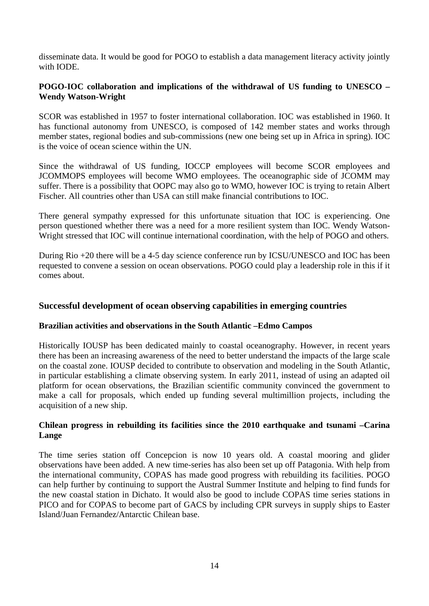disseminate data. It would be good for POGO to establish a data management literacy activity jointly with IODE.

## **POGO-IOC collaboration and implications of the withdrawal of US funding to UNESCO – Wendy Watson-Wright**

SCOR was established in 1957 to foster international collaboration. IOC was established in 1960. It has functional autonomy from UNESCO, is composed of 142 member states and works through member states, regional bodies and sub-commissions (new one being set up in Africa in spring). IOC is the voice of ocean science within the UN.

Since the withdrawal of US funding, IOCCP employees will become SCOR employees and JCOMMOPS employees will become WMO employees. The oceanographic side of JCOMM may suffer. There is a possibility that OOPC may also go to WMO, however IOC is trying to retain Albert Fischer. All countries other than USA can still make financial contributions to IOC.

There general sympathy expressed for this unfortunate situation that IOC is experiencing. One person questioned whether there was a need for a more resilient system than IOC. Wendy Watson-Wright stressed that IOC will continue international coordination, with the help of POGO and others.

During Rio +20 there will be a 4-5 day science conference run by ICSU/UNESCO and IOC has been requested to convene a session on ocean observations. POGO could play a leadership role in this if it comes about.

## **Successful development of ocean observing capabilities in emerging countries**

#### **Brazilian activities and observations in the South Atlantic –Edmo Campos**

Historically IOUSP has been dedicated mainly to coastal oceanography. However, in recent years there has been an increasing awareness of the need to better understand the impacts of the large scale on the coastal zone. IOUSP decided to contribute to observation and modeling in the South Atlantic, in particular establishing a climate observing system. In early 2011, instead of using an adapted oil platform for ocean observations, the Brazilian scientific community convinced the government to make a call for proposals, which ended up funding several multimillion projects, including the acquisition of a new ship.

#### **Chilean progress in rebuilding its facilities since the 2010 earthquake and tsunami –Carina Lange**

The time series station off Concepcion is now 10 years old. A coastal mooring and glider observations have been added. A new time-series has also been set up off Patagonia. With help from the international community, COPAS has made good progress with rebuilding its facilities. POGO can help further by continuing to support the Austral Summer Institute and helping to find funds for the new coastal station in Dichato. It would also be good to include COPAS time series stations in PICO and for COPAS to become part of GACS by including CPR surveys in supply ships to Easter Island/Juan Fernandez/Antarctic Chilean base.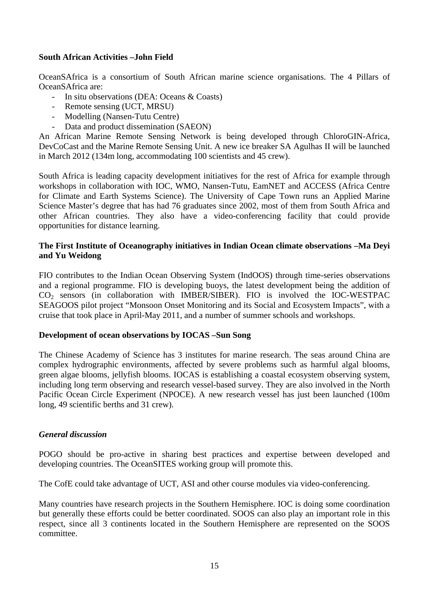#### **South African Activities –John Field**

OceanSAfrica is a consortium of South African marine science organisations. The 4 Pillars of OceanSAfrica are:

- In situ observations (DEA: Oceans & Coasts)
- Remote sensing (UCT, MRSU)
- Modelling (Nansen-Tutu Centre)
- Data and product dissemination (SAEON)

An African Marine Remote Sensing Network is being developed through ChloroGIN-Africa, DevCoCast and the Marine Remote Sensing Unit. A new ice breaker SA Agulhas II will be launched in March 2012 (134m long, accommodating 100 scientists and 45 crew).

South Africa is leading capacity development initiatives for the rest of Africa for example through workshops in collaboration with IOC, WMO, Nansen-Tutu, EamNET and ACCESS (Africa Centre for Climate and Earth Systems Science). The University of Cape Town runs an Applied Marine Science Master's degree that has had 76 graduates since 2002, most of them from South Africa and other African countries. They also have a video-conferencing facility that could provide opportunities for distance learning.

#### **The First Institute of Oceanography initiatives in Indian Ocean climate observations –Ma Deyi and Yu Weidong**

FIO contributes to the Indian Ocean Observing System (IndOOS) through time-series observations and a regional programme. FIO is developing buoys, the latest development being the addition of  $CO<sub>2</sub>$  sensors (in collaboration with IMBER/SIBER). FIO is involved the IOC-WESTPAC SEAGOOS pilot project "Monsoon Onset Monitoring and its Social and Ecosystem Impacts", with a cruise that took place in April-May 2011, and a number of summer schools and workshops.

#### **Development of ocean observations by IOCAS –Sun Song**

The Chinese Academy of Science has 3 institutes for marine research. The seas around China are complex hydrographic environments, affected by severe problems such as harmful algal blooms, green algae blooms, jellyfish blooms. IOCAS is establishing a coastal ecosystem observing system, including long term observing and research vessel-based survey. They are also involved in the North Pacific Ocean Circle Experiment (NPOCE). A new research vessel has just been launched (100m long, 49 scientific berths and 31 crew).

#### *General discussion*

POGO should be pro-active in sharing best practices and expertise between developed and developing countries. The OceanSITES working group will promote this.

The CofE could take advantage of UCT, ASI and other course modules via video-conferencing.

Many countries have research projects in the Southern Hemisphere. IOC is doing some coordination but generally these efforts could be better coordinated. SOOS can also play an important role in this respect, since all 3 continents located in the Southern Hemisphere are represented on the SOOS committee.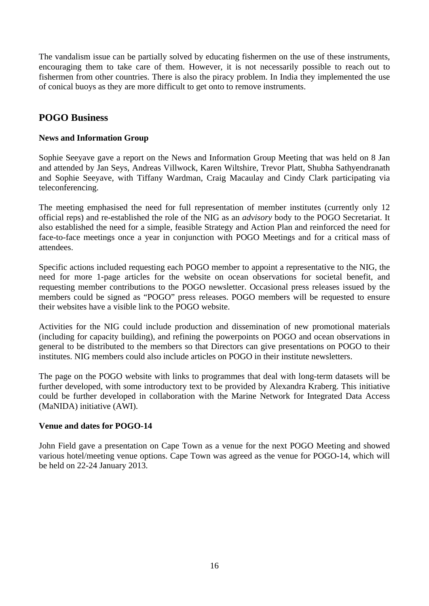The vandalism issue can be partially solved by educating fishermen on the use of these instruments, encouraging them to take care of them. However, it is not necessarily possible to reach out to fishermen from other countries. There is also the piracy problem. In India they implemented the use of conical buoys as they are more difficult to get onto to remove instruments.

# **POGO Business**

#### **News and Information Group**

Sophie Seeyave gave a report on the News and Information Group Meeting that was held on 8 Jan and attended by Jan Seys, Andreas Villwock, Karen Wiltshire, Trevor Platt, Shubha Sathyendranath and Sophie Seeyave, with Tiffany Wardman, Craig Macaulay and Cindy Clark participating via teleconferencing.

The meeting emphasised the need for full representation of member institutes (currently only 12 official reps) and re-established the role of the NIG as an *advisory* body to the POGO Secretariat. It also established the need for a simple, feasible Strategy and Action Plan and reinforced the need for face-to-face meetings once a year in conjunction with POGO Meetings and for a critical mass of attendees.

Specific actions included requesting each POGO member to appoint a representative to the NIG, the need for more 1-page articles for the website on ocean observations for societal benefit, and requesting member contributions to the POGO newsletter. Occasional press releases issued by the members could be signed as "POGO" press releases. POGO members will be requested to ensure their websites have a visible link to the POGO website.

Activities for the NIG could include production and dissemination of new promotional materials (including for capacity building), and refining the powerpoints on POGO and ocean observations in general to be distributed to the members so that Directors can give presentations on POGO to their institutes. NIG members could also include articles on POGO in their institute newsletters.

The page on the POGO website with links to programmes that deal with long-term datasets will be further developed, with some introductory text to be provided by Alexandra Kraberg. This initiative could be further developed in collaboration with the Marine Network for Integrated Data Access (MaNIDA) initiative (AWI).

## **Venue and dates for POGO-14**

John Field gave a presentation on Cape Town as a venue for the next POGO Meeting and showed various hotel/meeting venue options. Cape Town was agreed as the venue for POGO-14, which will be held on 22-24 January 2013.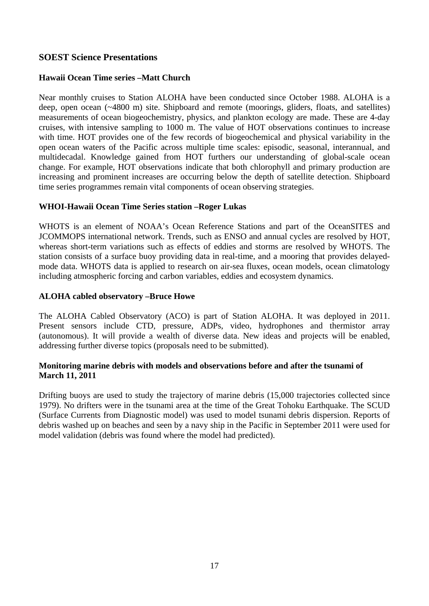# **SOEST Science Presentations**

## **Hawaii Ocean Time series –Matt Church**

Near monthly cruises to Station ALOHA have been conducted since October 1988. ALOHA is a deep, open ocean (~4800 m) site. Shipboard and remote (moorings, gliders, floats, and satellites) measurements of ocean biogeochemistry, physics, and plankton ecology are made. These are 4-day cruises, with intensive sampling to 1000 m. The value of HOT observations continues to increase with time. HOT provides one of the few records of biogeochemical and physical variability in the open ocean waters of the Pacific across multiple time scales: episodic, seasonal, interannual, and multidecadal. Knowledge gained from HOT furthers our understanding of global-scale ocean change. For example, HOT observations indicate that both chlorophyll and primary production are increasing and prominent increases are occurring below the depth of satellite detection. Shipboard time series programmes remain vital components of ocean observing strategies.

## **WHOI-Hawaii Ocean Time Series station –Roger Lukas**

WHOTS is an element of NOAA's Ocean Reference Stations and part of the OceanSITES and JCOMMOPS international network. Trends, such as ENSO and annual cycles are resolved by HOT, whereas short-term variations such as effects of eddies and storms are resolved by WHOTS. The station consists of a surface buoy providing data in real-time, and a mooring that provides delayedmode data. WHOTS data is applied to research on air-sea fluxes, ocean models, ocean climatology including atmospheric forcing and carbon variables, eddies and ecosystem dynamics.

#### **ALOHA cabled observatory –Bruce Howe**

The ALOHA Cabled Observatory (ACO) is part of Station ALOHA. It was deployed in 2011. Present sensors include CTD, pressure, ADPs, video, hydrophones and thermistor array (autonomous). It will provide a wealth of diverse data. New ideas and projects will be enabled, addressing further diverse topics (proposals need to be submitted).

#### **Monitoring marine debris with models and observations before and after the tsunami of March 11, 2011**

Drifting buoys are used to study the trajectory of marine debris (15,000 trajectories collected since 1979). No drifters were in the tsunami area at the time of the Great Tohoku Earthquake. The SCUD (Surface Currents from Diagnostic model) was used to model tsunami debris dispersion. Reports of debris washed up on beaches and seen by a navy ship in the Pacific in September 2011 were used for model validation (debris was found where the model had predicted).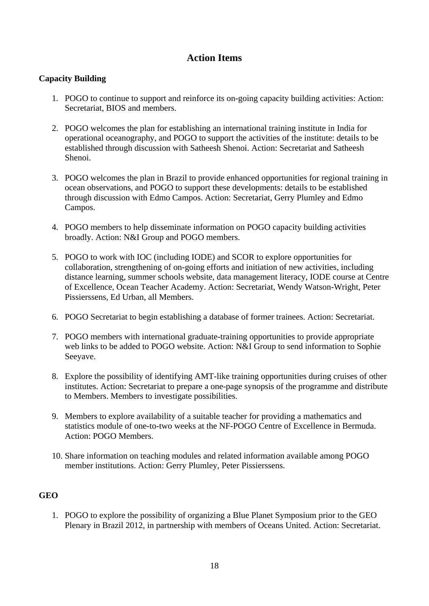# **Action Items**

## **Capacity Building**

- 1. POGO to continue to support and reinforce its on-going capacity building activities: Action: Secretariat, BIOS and members.
- 2. POGO welcomes the plan for establishing an international training institute in India for operational oceanography, and POGO to support the activities of the institute: details to be established through discussion with Satheesh Shenoi. Action: Secretariat and Satheesh Shenoi.
- 3. POGO welcomes the plan in Brazil to provide enhanced opportunities for regional training in ocean observations, and POGO to support these developments: details to be established through discussion with Edmo Campos. Action: Secretariat, Gerry Plumley and Edmo Campos.
- 4. POGO members to help disseminate information on POGO capacity building activities broadly. Action: N&I Group and POGO members.
- 5. POGO to work with IOC (including IODE) and SCOR to explore opportunities for collaboration, strengthening of on-going efforts and initiation of new activities, including distance learning, summer schools website, data management literacy, IODE course at Centre of Excellence, Ocean Teacher Academy. Action: Secretariat, Wendy Watson-Wright, Peter Pissierssens, Ed Urban, all Members.
- 6. POGO Secretariat to begin establishing a database of former trainees. Action: Secretariat.
- 7. POGO members with international graduate-training opportunities to provide appropriate web links to be added to POGO website. Action: N&I Group to send information to Sophie Seeyave.
- 8. Explore the possibility of identifying AMT-like training opportunities during cruises of other institutes. Action: Secretariat to prepare a one-page synopsis of the programme and distribute to Members. Members to investigate possibilities.
- 9. Members to explore availability of a suitable teacher for providing a mathematics and statistics module of one-to-two weeks at the NF-POGO Centre of Excellence in Bermuda. Action: POGO Members.
- 10. Share information on teaching modules and related information available among POGO member institutions. Action: Gerry Plumley, Peter Pissierssens.

# **GEO**

1. POGO to explore the possibility of organizing a Blue Planet Symposium prior to the GEO Plenary in Brazil 2012, in partnership with members of Oceans United. Action: Secretariat.